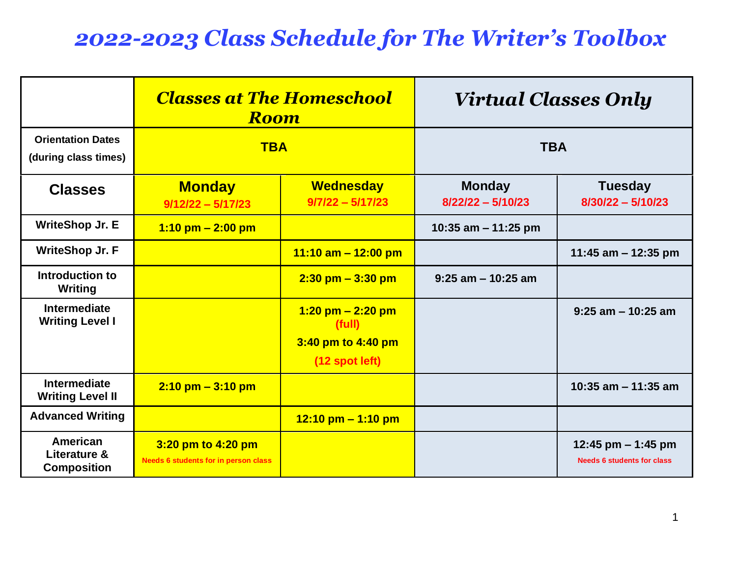# *2022-2023 Class Schedule for The Writer's Toolbox*

|                                                  | <b>Classes at The Homeschool</b><br><b>Room</b>                   |                                                                         | <b>Virtual Classes Only</b>          |                                                           |
|--------------------------------------------------|-------------------------------------------------------------------|-------------------------------------------------------------------------|--------------------------------------|-----------------------------------------------------------|
| <b>Orientation Dates</b><br>(during class times) | <b>TBA</b>                                                        |                                                                         | <b>TBA</b>                           |                                                           |
| <b>Classes</b>                                   | <b>Monday</b><br>$9/12/22 - 5/17/23$                              | <b>Wednesday</b><br>$9/7/22 - 5/17/23$                                  | <b>Monday</b><br>$8/22/22 - 5/10/23$ | <b>Tuesday</b><br>$8/30/22 - 5/10/23$                     |
| <b>WriteShop Jr. E</b>                           | $1:10$ pm $- 2:00$ pm                                             |                                                                         | 10:35 am $-$ 11:25 pm                |                                                           |
| <b>WriteShop Jr. F</b>                           |                                                                   | 11:10 am $-$ 12:00 pm                                                   |                                      | 11:45 am $-$ 12:35 pm                                     |
| Introduction to<br>Writing                       |                                                                   | $2:30$ pm $-3:30$ pm                                                    | $9:25$ am $-10:25$ am                |                                                           |
| Intermediate<br><b>Writing Level I</b>           |                                                                   | $1:20$ pm $- 2:20$ pm<br>(full)<br>3:40 pm to 4:40 pm<br>(12 spot left) |                                      | $9:25$ am $-10:25$ am                                     |
| <b>Intermediate</b><br><b>Writing Level II</b>   | $2:10 \text{ pm} - 3:10 \text{ pm}$                               |                                                                         |                                      | 10:35 am $-$ 11:35 am                                     |
| <b>Advanced Writing</b>                          |                                                                   | $12:10 \text{ pm} - 1:10 \text{ pm}$                                    |                                      |                                                           |
| American<br>Literature &<br><b>Composition</b>   | 3:20 pm to 4:20 pm<br><b>Needs 6 students for in person class</b> |                                                                         |                                      | 12:45 pm $-$ 1:45 pm<br><b>Needs 6 students for class</b> |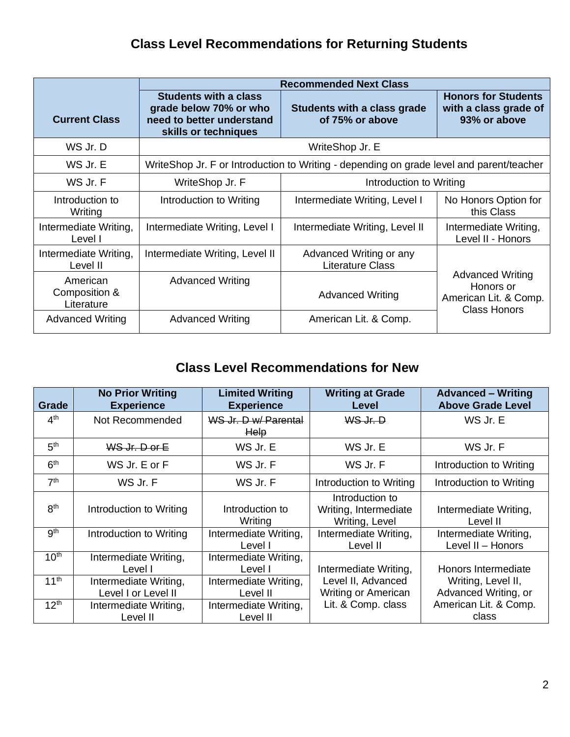## **Class Level Recommendations for Returning Students**

|                                         | <b>Recommended Next Class</b>                                                                               |                                                                                          |                                                                                      |  |
|-----------------------------------------|-------------------------------------------------------------------------------------------------------------|------------------------------------------------------------------------------------------|--------------------------------------------------------------------------------------|--|
| <b>Current Class</b>                    | <b>Students with a class</b><br>grade below 70% or who<br>need to better understand<br>skills or techniques | Students with a class grade<br>of 75% or above                                           | <b>Honors for Students</b><br>with a class grade of<br>93% or above                  |  |
| WS Jr. D                                |                                                                                                             | WriteShop Jr. E                                                                          |                                                                                      |  |
| WS Jr. E                                |                                                                                                             | WriteShop Jr. F or Introduction to Writing - depending on grade level and parent/teacher |                                                                                      |  |
| WS Jr. F                                | WriteShop Jr. F<br>Introduction to Writing                                                                  |                                                                                          |                                                                                      |  |
| Introduction to<br>Writing              | Introduction to Writing                                                                                     | Intermediate Writing, Level I                                                            | No Honors Option for<br>this Class                                                   |  |
| Intermediate Writing,<br>Level I        | Intermediate Writing, Level I                                                                               | Intermediate Writing, Level II                                                           | Intermediate Writing,<br>Level II - Honors                                           |  |
| Intermediate Writing,<br>Level II       | Intermediate Writing, Level II                                                                              | Advanced Writing or any<br><b>Literature Class</b>                                       |                                                                                      |  |
| American<br>Composition &<br>Literature | <b>Advanced Writing</b>                                                                                     | <b>Advanced Writing</b>                                                                  | <b>Advanced Writing</b><br>Honors or<br>American Lit. & Comp.<br><b>Class Honors</b> |  |
| <b>Advanced Writing</b>                 | <b>Advanced Writing</b>                                                                                     | American Lit. & Comp.                                                                    |                                                                                      |  |

## **Class Level Recommendations for New**

| Grade            | <b>No Prior Writing</b><br><b>Experience</b> | <b>Limited Writing</b><br><b>Experience</b> | <b>Writing at Grade</b><br><b>Level</b>                    | <b>Advanced - Writing</b><br><b>Above Grade Level</b> |
|------------------|----------------------------------------------|---------------------------------------------|------------------------------------------------------------|-------------------------------------------------------|
| 4 <sup>th</sup>  | Not Recommended                              | WS Jr. D w/ Parental<br><b>Help</b>         | WS Jr. D                                                   | WS Jr. E                                              |
| 5 <sup>th</sup>  | WS Jr. D or E                                | WS Jr. E                                    | WS Jr. E                                                   | WS Jr. F                                              |
| 6 <sup>th</sup>  | WS Jr. E or F                                | WS Jr. F                                    | WS Jr. F                                                   | Introduction to Writing                               |
| 7 <sup>th</sup>  | WS Jr. F                                     | WS Jr. F                                    | Introduction to Writing                                    | Introduction to Writing                               |
| 8 <sup>th</sup>  | Introduction to Writing                      | Introduction to<br>Writing                  | Introduction to<br>Writing, Intermediate<br>Writing, Level | Intermediate Writing,<br>Level II                     |
| 9 <sup>th</sup>  | Introduction to Writing                      | Intermediate Writing,<br>Level I            | Intermediate Writing,<br>Level II                          | Intermediate Writing,<br>Level II - Honors            |
| 10 <sup>th</sup> | Intermediate Writing,<br>Level I             | Intermediate Writing,<br>Level I            | Intermediate Writing,                                      | Honors Intermediate                                   |
| 11 <sup>th</sup> | Intermediate Writing,<br>Level I or Level II | Intermediate Writing,<br>Level II           | Level II, Advanced<br><b>Writing or American</b>           | Writing, Level II,<br>Advanced Writing, or            |
| 12 <sup>th</sup> | Intermediate Writing,<br>Level II            | Intermediate Writing,<br>Level II           | Lit. & Comp. class                                         | American Lit. & Comp.<br>class                        |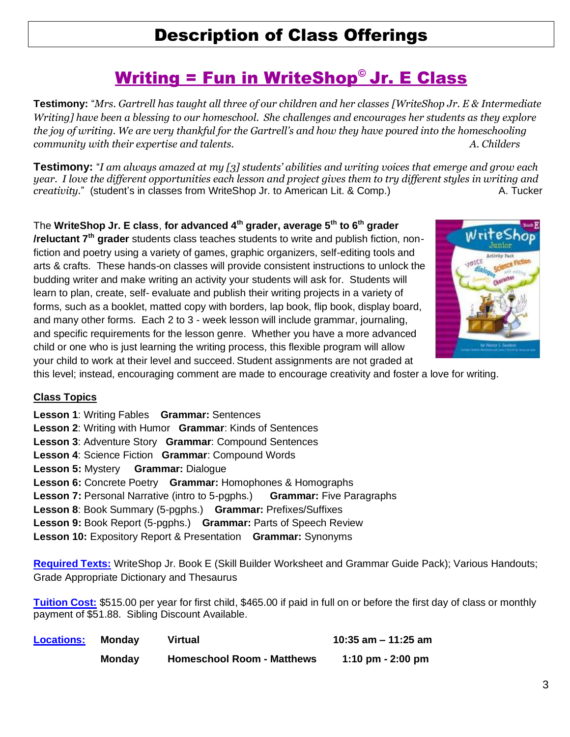## Description of Class Offerings

## Writing = Fun in WriteShop© Jr. E Class

**Testimony:** "*Mrs. Gartrell has taught all three of our children and her classes [WriteShop Jr. E & Intermediate Writing] have been a blessing to our homeschool. She challenges and encourages her students as they explore the joy of writing. We are very thankful for the Gartrell's and how they have poured into the homeschooling community with their expertise and talents. A. Childers*

**Testimony:** "*I am always amazed at my [3] students' abilities and writing voices that emerge and grow each year. I love the different opportunities each lesson and project gives them to try different styles in writing and creativity.*" (student's in classes from WriteShop Jr. to American Lit. & Comp.) A. Tucker

The **WriteShop Jr. E class**, **for advanced 4th grader, average 5th to 6th grader /reluctant 7th grader** students class teaches students to write and publish fiction, nonfiction and poetry using a variety of games, graphic organizers, self-editing tools and arts & crafts. These hands-on classes will provide consistent instructions to unlock the budding writer and make writing an activity your students will ask for. Students will learn to plan, create, self- evaluate and publish their writing projects in a variety of forms, such as a booklet, matted copy with borders, lap book, flip book, display board, and many other forms. Each 2 to 3 - week lesson will include grammar, journaling, and specific requirements for the lesson genre. Whether you have a more advanced child or one who is just learning the writing process, this flexible program will allow your child to work at their level and succeed. Student assignments are not graded at



this level; instead, encouraging comment are made to encourage creativity and foster a love for writing.

#### **Class Topics**

**Lesson 1**: Writing Fables **Grammar:** Sentences **Lesson 2**: Writing with Humor **Grammar**: Kinds of Sentences **Lesson 3**: Adventure Story **Grammar**: Compound Sentences **Lesson 4**: Science Fiction **Grammar**: Compound Words **Lesson 5:** Mystery **Grammar:** Dialogue **Lesson 6:** Concrete Poetry **Grammar:** Homophones & Homographs **Lesson 7:** Personal Narrative (intro to 5-pgphs.) **Grammar:** Five Paragraphs **Lesson 8**: Book Summary (5-pgphs.) **Grammar:** Prefixes/Suffixes **Lesson 9:** Book Report (5-pgphs.) **Grammar:** Parts of Speech Review **Lesson 10:** Expository Report & Presentation **Grammar:** Synonyms

**Required Texts:** WriteShop Jr. Book E (Skill Builder Worksheet and Grammar Guide Pack); Various Handouts; Grade Appropriate Dictionary and Thesaurus

**Tuition Cost:** \$515.00 per year for first child, \$465.00 if paid in full on or before the first day of class or monthly payment of \$51.88. Sibling Discount Available.

| <b>Locations:</b> | Mondav        | Virtual                           | 10:35 am $-$ 11:25 am |
|-------------------|---------------|-----------------------------------|-----------------------|
|                   | <b>Monday</b> | <b>Homeschool Room - Matthews</b> | 1:10 pm $-$ 2:00 pm   |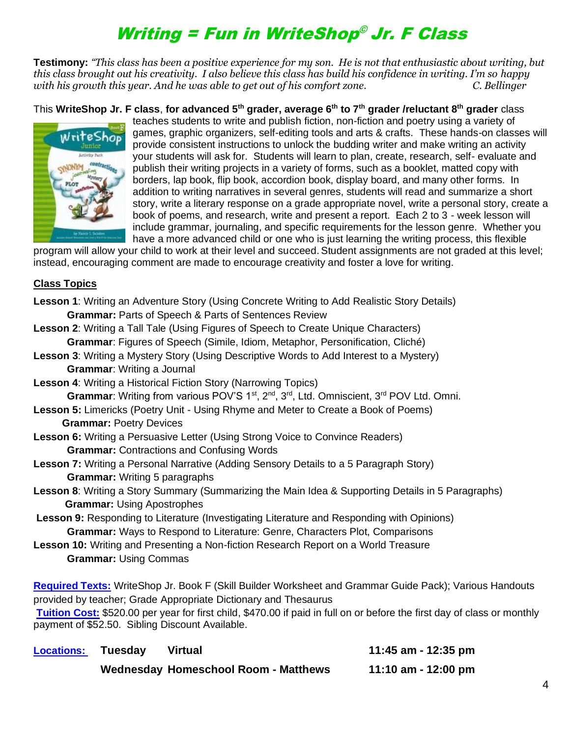# Writing = Fun in WriteShop © Jr. F Class

**Testimony:** *"This class has been a positive experience for my son. He is not that enthusiastic about writing, but this class brought out his creativity. I also believe this class has build his confidence in writing. I'm so happy with his growth this year. And he was able to get out of his comfort zone. C. Bellinger*

This **WriteShop Jr. F class**, **for advanced 5th grader, average 6th to 7th grader /reluctant 8th grader** class



teaches students to write and publish fiction, non-fiction and poetry using a variety of games, graphic organizers, self-editing tools and arts & crafts. These hands-on classes will provide consistent instructions to unlock the budding writer and make writing an activity your students will ask for. Students will learn to plan, create, research, self- evaluate and publish their writing projects in a variety of forms, such as a booklet, matted copy with borders, lap book, flip book, accordion book, display board, and many other forms. In addition to writing narratives in several genres, students will read and summarize a short story, write a literary response on a grade appropriate novel, write a personal story, create a book of poems, and research, write and present a report. Each 2 to 3 - week lesson will include grammar, journaling, and specific requirements for the lesson genre. Whether you have a more advanced child or one who is just learning the writing process, this flexible

program will allow your child to work at their level and succeed. Student assignments are not graded at this level; instead, encouraging comment are made to encourage creativity and foster a love for writing.

#### **Class Topics**

| Lesson 1: Writing an Adventure Story (Using Concrete Writing to Add Realistic Story Details)                                                                                |
|-----------------------------------------------------------------------------------------------------------------------------------------------------------------------------|
| Grammar: Parts of Speech & Parts of Sentences Review                                                                                                                        |
| <b>Lesson 2: Writing a Tall Tale (Using Figures of Speech to Create Unique Characters)</b>                                                                                  |
| Grammar: Figures of Speech (Simile, Idiom, Metaphor, Personification, Cliché)                                                                                               |
| Lesson 3: Writing a Mystery Story (Using Descriptive Words to Add Interest to a Mystery)                                                                                    |
| <b>Grammar:</b> Writing a Journal                                                                                                                                           |
| <b>Lesson 4: Writing a Historical Fiction Story (Narrowing Topics)</b>                                                                                                      |
| Grammar: Writing from various POV'S 1 <sup>st</sup> , 2 <sup>nd</sup> , 3 <sup>rd</sup> , Ltd. Omniscient, 3 <sup>rd</sup> POV Ltd. Omni.                                   |
| Lesson 5: Limericks (Poetry Unit - Using Rhyme and Meter to Create a Book of Poems)                                                                                         |
| <b>Grammar: Poetry Devices</b>                                                                                                                                              |
| Lesson 6: Writing a Persuasive Letter (Using Strong Voice to Convince Readers)                                                                                              |
| <b>Grammar: Contractions and Confusing Words</b>                                                                                                                            |
| Lesson 7: Writing a Personal Narrative (Adding Sensory Details to a 5 Paragraph Story)                                                                                      |
| <b>Grammar:</b> Writing 5 paragraphs                                                                                                                                        |
| Lesson 8: Writing a Story Summary (Summarizing the Main Idea & Supporting Details in 5 Paragraphs)                                                                          |
| <b>Grammar: Using Apostrophes</b>                                                                                                                                           |
| Lesson 9: Responding to Literature (Investigating Literature and Responding with Opinions)                                                                                  |
| Grammar: Ways to Respond to Literature: Genre, Characters Plot, Comparisons                                                                                                 |
| Lesson 10: Writing and Presenting a Non-fiction Research Report on a World Treasure                                                                                         |
| <b>Grammar: Using Commas</b>                                                                                                                                                |
|                                                                                                                                                                             |
| Required Texts: WriteShop Jr. Book F (Skill Builder Worksheet and Grammar Guide Pack); Various Handouts                                                                     |
| provided by teacher; Grade Appropriate Dictionary and Thesaurus                                                                                                             |
| Tuition Cost: \$520.00 per year for first child, \$470.00 if paid in full on or before the first day of class or monthly<br>payment of \$52.50. Sibling Discount Available. |

| <b>Locations:</b> | <b>Tuesday</b> | <b>Virtual</b>                              | 11:45 am - 12:35 pm |
|-------------------|----------------|---------------------------------------------|---------------------|
|                   |                | <b>Wednesday Homeschool Room - Matthews</b> | 11:10 am - 12:00 pm |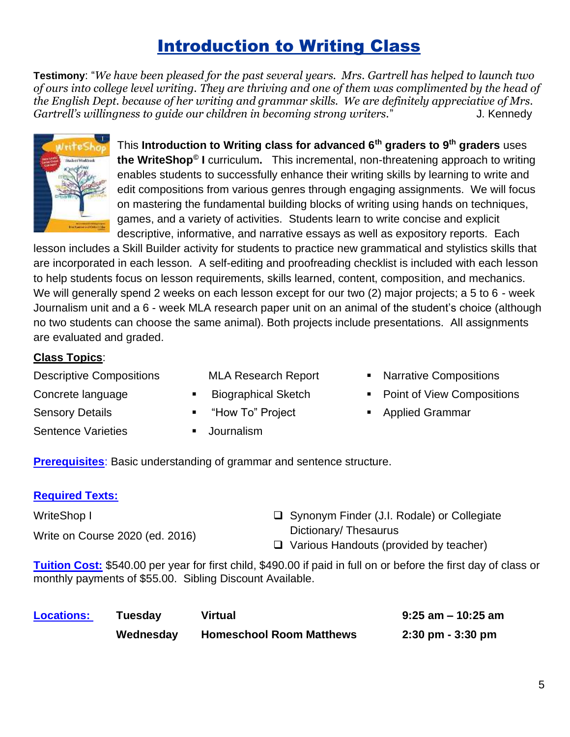# **Introduction to Writing Class**

**Testimony**: "*We have been pleased for the past several years. Mrs. Gartrell has helped to launch two of ours into college level writing. They are thriving and one of them was complimented by the head of the English Dept. because of her writing and grammar skills. We are definitely appreciative of Mrs. Gartrell's willingness to quide our children in becoming strong writers.*" J. Kennedy



This **Introduction to Writing class for advanced 6th graders to 9th graders** uses **the WriteShop© I** curriculum**.** This incremental, non-threatening approach to writing enables students to successfully enhance their writing skills by learning to write and edit compositions from various genres through engaging assignments. We will focus on mastering the fundamental building blocks of writing using hands on techniques, games, and a variety of activities. Students learn to write concise and explicit descriptive, informative, and narrative essays as well as expository reports. Each

lesson includes a Skill Builder activity for students to practice new grammatical and stylistics skills that are incorporated in each lesson. A self-editing and proofreading checklist is included with each lesson to help students focus on lesson requirements, skills learned, content, composition, and mechanics. We will generally spend 2 weeks on each lesson except for our two (2) major projects; a 5 to 6 - week Journalism unit and a 6 - week MLA research paper unit on an animal of the student's choice (although no two students can choose the same animal). Both projects include presentations. All assignments are evaluated and graded.

#### **Class Topics**:

Descriptive Compositions

- MLA Research Report **Biographical Sketch**
- Concrete language
- Sensory Details
- Sentence Varieties
- "How To" Project
- Journalism
- Narrative Compositions
- Point of View Compositions
- Applied Grammar

**Prerequisites**: Basic understanding of grammar and sentence structure.

#### **Required Texts:**

| <b>WriteShop I</b>              | $\Box$ Synonym Finder (J.I. Rodale) or Collegiate |
|---------------------------------|---------------------------------------------------|
| Write on Course 2020 (ed. 2016) | Dictionary/Thesaurus                              |
|                                 | $\Box$ Various Handouts (provided by teacher)     |

**Tuition Cost:** \$540.00 per year for first child, \$490.00 if paid in full on or before the first day of class or monthly payments of \$55.00. Sibling Discount Available.

| <b>Locations:</b> | Tuesday   | <b>Virtual</b>                  | $9:25$ am - 10:25 am                |
|-------------------|-----------|---------------------------------|-------------------------------------|
|                   | Wednesday | <b>Homeschool Room Matthews</b> | $2:30 \text{ pm} - 3:30 \text{ pm}$ |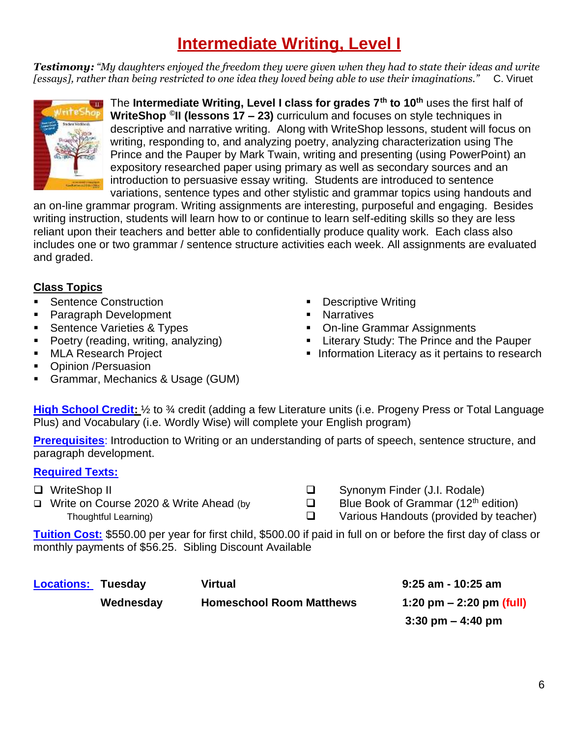# **Intermediate Writing, Level I**

*Testimony: "My daughters enjoyed the freedom they were given when they had to state their ideas and write [essays], rather than being restricted to one idea they loved being able to use their imaginations."* C. Viruet



The **Intermediate Writing, Level I class for grades 7th to 10th** uses the first half of **WriteShop © II (lessons 17 – 23)** curriculum and focuses on style techniques in descriptive and narrative writing. Along with WriteShop lessons, student will focus on writing, responding to, and analyzing poetry, analyzing characterization using The Prince and the Pauper by Mark Twain, writing and presenting (using PowerPoint) an expository researched paper using primary as well as secondary sources and an introduction to persuasive essay writing. Students are introduced to sentence variations, sentence types and other stylistic and grammar topics using handouts and

an on-line grammar program. Writing assignments are interesting, purposeful and engaging. Besides writing instruction, students will learn how to or continue to learn self-editing skills so they are less reliant upon their teachers and better able to confidentially produce quality work. Each class also includes one or two grammar / sentence structure activities each week. All assignments are evaluated and graded.

#### **Class Topics**

- Sentence Construction
- Paragraph Development
- **EXEC** Varieties & Types
- Poetry (reading, writing, analyzing)
- **MLA Research Project**
- Opinion /Persuasion
- **E** Grammar, Mechanics & Usage (GUM)
- **Descriptive Writing**
- Narratives
- On-line Grammar Assignments
- **EXEC** Literary Study: The Prince and the Pauper
- **EXEDENT** Information Literacy as it pertains to research

**High School Credit:**  $\frac{1}{2}$  to  $\frac{3}{4}$  credit (adding a few Literature units (i.e. Progeny Press or Total Language Plus) and Vocabulary (i.e. Wordly Wise) will complete your English program)

**Prerequisites**: Introduction to Writing or an understanding of parts of speech, sentence structure, and paragraph development.

#### **Required Texts:**

- ❑ WriteShop II
- ❑ Write on Course 2020 & Write Ahead (by Thoughtful Learning)
- ❑ Synonym Finder (J.I. Rodale)
- $\Box$  Blue Book of Grammar (12<sup>th</sup> edition)
- ❑ Various Handouts (provided by teacher)

**Tuition Cost:** \$550.00 per year for first child, \$500.00 if paid in full on or before the first day of class or monthly payments of \$56.25. Sibling Discount Available

| <b>Locations: Tuesday</b> |           | Virtual                         | $9:25$ am - 10:25 am                |
|---------------------------|-----------|---------------------------------|-------------------------------------|
|                           | Wednesday | <b>Homeschool Room Matthews</b> | 1:20 pm $-$ 2:20 pm (full)          |
|                           |           |                                 | $3:30 \text{ pm} - 4:40 \text{ pm}$ |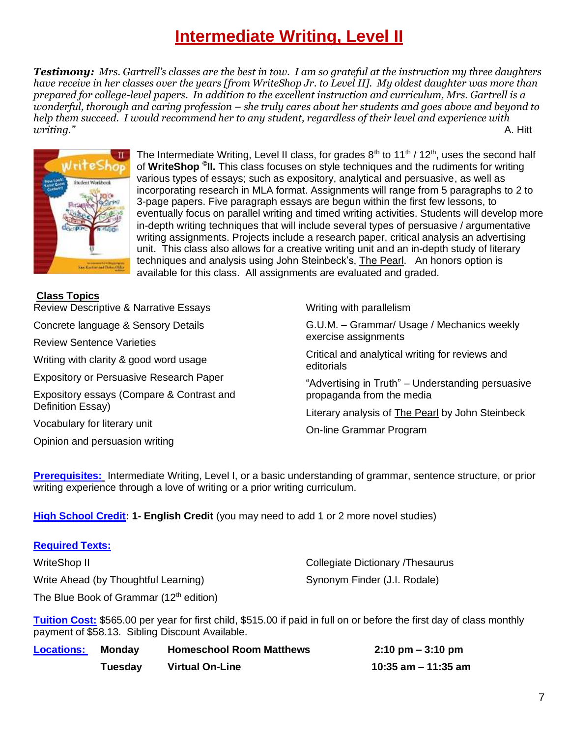## **Intermediate Writing, Level II**

*Testimony: Mrs. Gartrell's classes are the best in tow. I am so grateful at the instruction my three daughters have receive in her classes over the years [from WriteShop Jr. to Level II]. My oldest daughter was more than prepared for college-level papers. In addition to the excellent instruction and curriculum, Mrs. Gartrell is a wonderful, thorough and caring profession – she truly cares about her students and goes above and beyond to help them succeed. I would recommend her to any student, regardless of their level and experience with writing."* A. Hitt



The Intermediate Writing, Level II class, for grades  $8<sup>th</sup>$  to 11<sup>th</sup> / 12<sup>th</sup>, uses the second half of **WriteShop © II.** This class focuses on style techniques and the rudiments for writing various types of essays; such as expository, analytical and persuasive, as well as incorporating research in MLA format. Assignments will range from 5 paragraphs to 2 to 3-page papers. Five paragraph essays are begun within the first few lessons, to eventually focus on parallel writing and timed writing activities. Students will develop more in-depth writing techniques that will include several types of persuasive / argumentative writing assignments. Projects include a research paper, critical analysis an advertising unit. This class also allows for a creative writing unit and an in-depth study of literary techniques and analysis using John Steinbeck's, The Pearl. An honors option is available for this class. All assignments are evaluated and graded.

| <b>Class Topics</b> |
|---------------------|
|---------------------|

Review Descriptive & Narrative Essays Concrete language & Sensory Details Review Sentence Varieties Writing with clarity & good word usage Expository or Persuasive Research Paper

Expository essays (Compare & Contrast and Definition Essay)

Vocabulary for literary unit

**Required Texts:** 

Opinion and persuasion writing

Writing with parallelism

G.U.M. – Grammar/ Usage / Mechanics weekly exercise assignments

Critical and analytical writing for reviews and editorials

"Advertising in Truth" – Understanding persuasive propaganda from the media

Literary analysis of The Pearl by John Steinbeck

On-line Grammar Program

**Prerequisites:** Intermediate Writing, Level I, or a basic understanding of grammar, sentence structure, or prior writing experience through a love of writing or a prior writing curriculum.

**High School Credit: 1- English Credit** (you may need to add 1 or 2 more novel studies)

| $\sim$                                    |                                   |
|-------------------------------------------|-----------------------------------|
| WriteShop II                              | Collegiate Dictionary / Thesaurus |
| Write Ahead (by Thoughtful Learning)      | Synonym Finder (J.I. Rodale)      |
| The Blue Book of Grammar $(12th$ edition) |                                   |

**Tuition Cost:** \$565.00 per year for first child, \$515.00 if paid in full on or before the first day of class monthly payment of \$58.13. Sibling Discount Available.

| <b>Locations:</b> | Mondav  | <b>Homeschool Room Matthews</b> | $2:10 \text{ pm} - 3:10 \text{ pm}$ |
|-------------------|---------|---------------------------------|-------------------------------------|
|                   | Tuesday | <b>Virtual On-Line</b>          | 10:35 am $-$ 11:35 am               |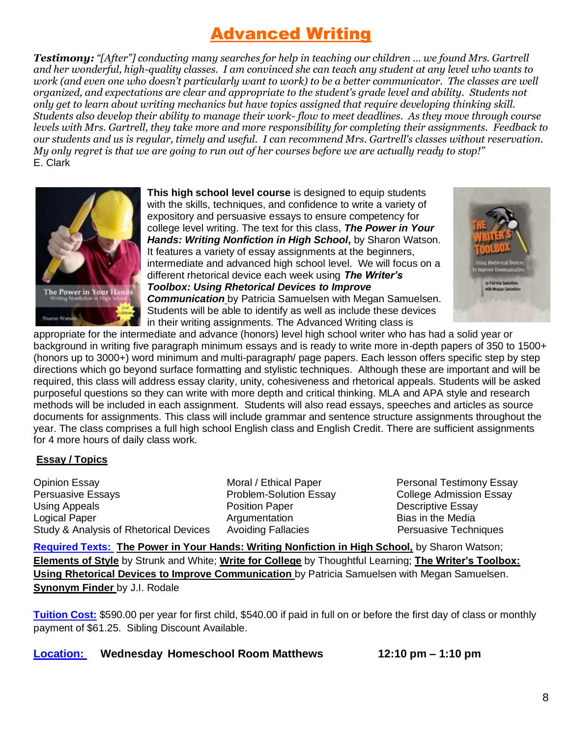## Advanced Writing

*Testimony: "[After"] conducting many searches for help in teaching our children … we found Mrs. Gartrell and her wonderful, high-quality classes. I am convinced she can teach any student at any level who wants to work (and even one who doesn't particularly want to work) to be a better communicator. The classes are well organized, and expectations are clear and appropriate to the student's grade level and ability. Students not only get to learn about writing mechanics but have topics assigned that require developing thinking skill. Students also develop their ability to manage their work- flow to meet deadlines. As they move through course levels with Mrs. Gartrell, they take more and more responsibility for completing their assignments. Feedback to our students and us is regular, timely and useful. I can recommend Mrs. Gartrell's classes without reservation. My only regret is that we are going to run out of her courses before we are actually ready to stop!"*  E. Clark



**This high school level course** is designed to equip students with the skills, techniques, and confidence to write a variety of expository and persuasive essays to ensure competency for college level writing. The text for this class, *The Power in Your Hands: Writing Nonfiction in High School***,** by Sharon Watson. It features a variety of essay assignments at the beginners, intermediate and advanced high school level. We will focus on a different rhetorical device each week using *The Writer's Toolbox: Using Rhetorical Devices to Improve Communication* by Patricia Samuelsen with Megan Samuelsen. Students will be able to identify as well as include these devices in their writing assignments. The Advanced Writing class is



appropriate for the intermediate and advance (honors) level high school writer who has had a solid year or background in writing five paragraph minimum essays and is ready to write more in-depth papers of 350 to 1500+ (honors up to 3000+) word minimum and multi-paragraph/ page papers. Each lesson offers specific step by step directions which go beyond surface formatting and stylistic techniques. Although these are important and will be required, this class will address essay clarity, unity, cohesiveness and rhetorical appeals. Students will be asked purposeful questions so they can write with more depth and critical thinking. MLA and APA style and research methods will be included in each assignment. Students will also read essays, speeches and articles as source documents for assignments. This class will include grammar and sentence structure assignments throughout the year. The class comprises a full high school English class and English Credit. There are sufficient assignments for 4 more hours of daily class work.

#### **Essay / Topics**

Opinion Essay Persuasive Essays Using Appeals Logical Paper Study & Analysis of Rhetorical Devices Avoiding Fallacies Persuasive Techniques

 Moral / Ethical Paper Problem-Solution Essay Position Paper Argumentation

Personal Testimony Essay College Admission Essay Descriptive Essay Bias in the Media

**Required Texts: The Power in Your Hands: Writing Nonfiction in High School,** by Sharon Watson; **Elements of Style** by Strunk and White; **Write for College** by Thoughtful Learning; **The Writer's Toolbox: Using Rhetorical Devices to Improve Communication** by Patricia Samuelsen with Megan Samuelsen. **Synonym Finder** by J.I. Rodale

**Tuition Cost:** \$590.00 per year for first child, \$540.00 if paid in full on or before the first day of class or monthly payment of \$61.25. Sibling Discount Available.

**Location: Wednesday Homeschool Room Matthews 12:10 pm – 1:10 pm**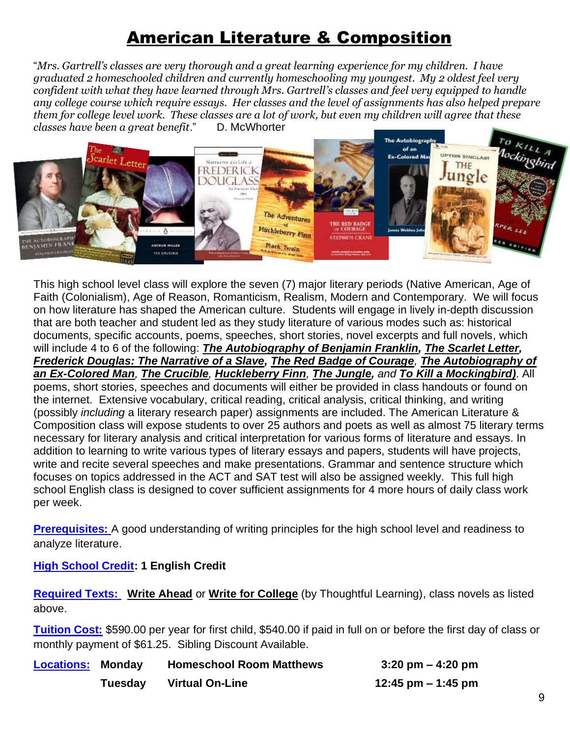## American Literature & Composition

"*Mrs. Gartrell's classes are very thorough and a great learning experience for my children. I have graduated 2 homeschooled children and currently homeschooling my youngest. My 2 oldest feel very confident with what they have learned through Mrs. Gartrell's classes and feel very equipped to handle any college course which require essays. Her classes and the level of assignments has also helped prepare them for college level work. These classes are a lot of work, but even my children will agree that these classes have been a great benefit*." D. McWhorter



This high school level class will explore the seven (7) major literary periods (Native American, Age of Faith (Colonialism), Age of Reason, Romanticism, Realism, Modern and Contemporary. We will focus on how literature has shaped the American culture. Students will engage in lively in-depth discussion that are both teacher and student led as they study literature of various modes such as: historical documents, specific accounts, poems, speeches, short stories, novel excerpts and full novels, which will include 4 to 6 of the following: *The Autobiography of Benjamin Franklin, The Scarlet Letter, Frederick Douglas: The Narrative of a Slave, The Red Badge of Courage, The Autobiography of an Ex-Colored Man, The Crucible, Huckleberry Finn, The Jungle, and To Kill a Mockingbird)*. All poems, short stories, speeches and documents will either be provided in class handouts or found on the internet. Extensive vocabulary, critical reading, critical analysis, critical thinking, and writing (possibly *including* a literary research paper) assignments are included. The American Literature & Composition class will expose students to over 25 authors and poets as well as almost 75 literary terms necessary for literary analysis and critical interpretation for various forms of literature and essays. In addition to learning to write various types of literary essays and papers, students will have projects, write and recite several speeches and make presentations. Grammar and sentence structure which focuses on topics addressed in the ACT and SAT test will also be assigned weekly. This full high school English class is designed to cover sufficient assignments for 4 more hours of daily class work per week.

**Prerequisites:** A good understanding of writing principles for the high school level and readiness to analyze literature.

#### **High School Credit: 1 English Credit**

**Required Texts: Write Ahead** or **Write for College** (by Thoughtful Learning), class novels as listed above.

**Tuition Cost:** \$590.00 per year for first child, \$540.00 if paid in full on or before the first day of class or monthly payment of \$61.25. Sibling Discount Available.

| <b>Homeschool Room Matthews</b><br><b>Locations: Monday</b> |                        | $3:20 \text{ pm} - 4:20 \text{ pm}$ |  |  |
|-------------------------------------------------------------|------------------------|-------------------------------------|--|--|
| Tuesday                                                     | <b>Virtual On-Line</b> | 12:45 pm $-$ 1:45 pm                |  |  |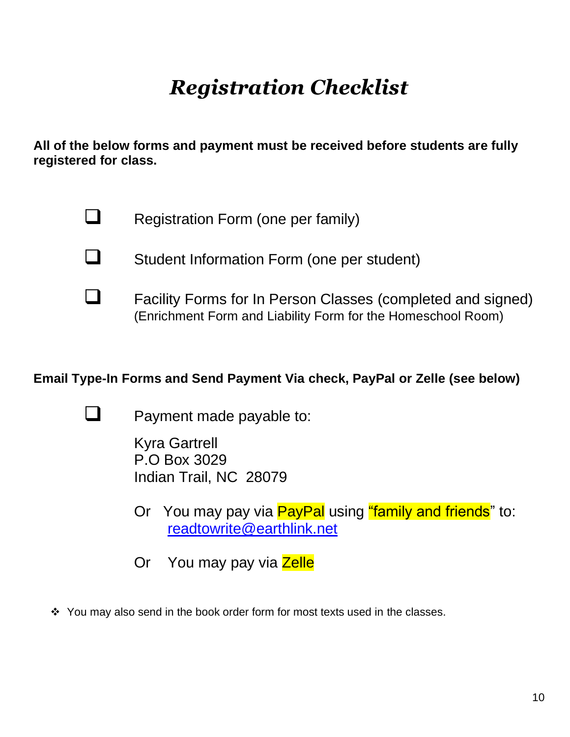# *Registration Checklist*

**All of the below forms and payment must be received before students are fully registered for class.**



❑ Registration Form (one per family)



❑ Student Information Form (one per student)

❑ Facility Forms for In Person Classes (completed and signed) (Enrichment Form and Liability Form for the Homeschool Room)

### **Email Type-In Forms and Send Payment Via check, PayPal or Zelle (see below)**



Payment made payable to:

Kyra Gartrell P.O Box 3029 Indian Trail, NC 28079

- Or You may pay via **PayPal** using "family and friends" to: [readtowrite@earthlink.net](mailto:readtowrite@earthlink.net)
- Or You may pay via Zelle
- ❖ You may also send in the book order form for most texts used in the classes.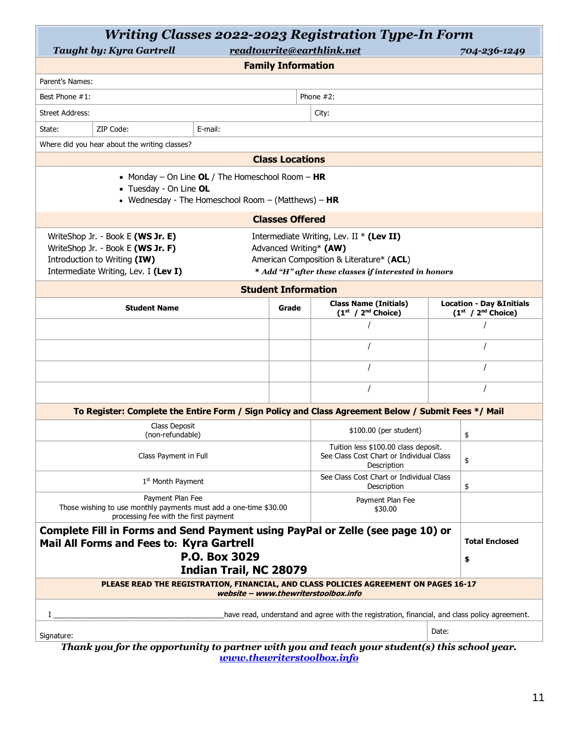| <b>Writing Classes 2022-2023 Registration Type-In Form</b>                                                                                                                                                                                                                                                                  |                            |  |                        |       |                                                              |  |
|-----------------------------------------------------------------------------------------------------------------------------------------------------------------------------------------------------------------------------------------------------------------------------------------------------------------------------|----------------------------|--|------------------------|-------|--------------------------------------------------------------|--|
| readtowrite@earthlink.net<br><b>Taught by: Kyra Gartrell</b><br>704-236-1249                                                                                                                                                                                                                                                |                            |  |                        |       |                                                              |  |
|                                                                                                                                                                                                                                                                                                                             | <b>Family Information</b>  |  |                        |       |                                                              |  |
| Parent's Names:                                                                                                                                                                                                                                                                                                             |                            |  |                        |       |                                                              |  |
| Best Phone #1:                                                                                                                                                                                                                                                                                                              |                            |  | Phone $#2$ :           |       |                                                              |  |
| <b>Street Address:</b>                                                                                                                                                                                                                                                                                                      |                            |  | City:                  |       |                                                              |  |
| ZIP Code:<br>State:<br>E-mail:                                                                                                                                                                                                                                                                                              |                            |  |                        |       |                                                              |  |
| Where did you hear about the writing classes?                                                                                                                                                                                                                                                                               |                            |  |                        |       |                                                              |  |
|                                                                                                                                                                                                                                                                                                                             | <b>Class Locations</b>     |  |                        |       |                                                              |  |
| • Monday – On Line $OL /$ The Homeschool Room – HR<br>• Tuesday - On Line OL<br>• Wednesday - The Homeschool Room - (Matthews) - $HR$                                                                                                                                                                                       |                            |  |                        |       |                                                              |  |
|                                                                                                                                                                                                                                                                                                                             | <b>Classes Offered</b>     |  |                        |       |                                                              |  |
| WriteShop Jr. - Book E (WS Jr. E)<br>Intermediate Writing, Lev. II $*$ (Lev II)<br>WriteShop Jr. - Book E (WS Jr. F)<br>Advanced Writing* (AW)<br>Introduction to Writing (IW)<br>American Composition & Literature* (ACL)<br>Intermediate Writing, Lev. I (Lev I)<br>* Add "H" after these classes if interested in honors |                            |  |                        |       |                                                              |  |
|                                                                                                                                                                                                                                                                                                                             | <b>Student Information</b> |  |                        |       |                                                              |  |
| <b>Class Name (Initials)</b><br><b>Student Name</b><br>Grade<br>$(1st / 2nd Choice)$                                                                                                                                                                                                                                        |                            |  |                        |       | <b>Location - Day &amp; Initials</b><br>$(1st / 2nd Choice)$ |  |
|                                                                                                                                                                                                                                                                                                                             |                            |  |                        |       |                                                              |  |
|                                                                                                                                                                                                                                                                                                                             |                            |  |                        |       |                                                              |  |
|                                                                                                                                                                                                                                                                                                                             | $\prime$                   |  |                        |       |                                                              |  |
|                                                                                                                                                                                                                                                                                                                             |                            |  |                        |       |                                                              |  |
| To Register: Complete the Entire Form / Sign Policy and Class Agreement Below / Submit Fees */ Mail                                                                                                                                                                                                                         |                            |  |                        |       |                                                              |  |
| Class Deposit<br>(non-refundable)                                                                                                                                                                                                                                                                                           |                            |  | \$100.00 (per student) |       | \$                                                           |  |
| Tuition less \$100.00 class deposit.<br>See Class Cost Chart or Individual Class<br>Class Payment in Full<br>Description                                                                                                                                                                                                    |                            |  |                        | \$    |                                                              |  |
| See Class Cost Chart or Individual Class<br>1 <sup>st</sup> Month Payment<br>Description                                                                                                                                                                                                                                    |                            |  |                        |       | \$                                                           |  |
| Payment Plan Fee<br>Payment Plan Fee<br>Those wishing to use monthly payments must add a one-time \$30.00<br>\$30.00<br>processing fee with the first payment                                                                                                                                                               |                            |  |                        |       |                                                              |  |
| Complete Fill in Forms and Send Payment using PayPal or Zelle (see page 10) or<br><b>Total Enclosed</b><br>Mail All Forms and Fees to: Kyra Gartrell                                                                                                                                                                        |                            |  |                        |       |                                                              |  |
| P.O. Box 3029<br>\$<br><b>Indian Trail, NC 28079</b>                                                                                                                                                                                                                                                                        |                            |  |                        |       |                                                              |  |
| PLEASE READ THE REGISTRATION, FINANCIAL, AND CLASS POLICIES AGREEMENT ON PAGES 16-17<br>website - www.thewriterstoolbox.info                                                                                                                                                                                                |                            |  |                        |       |                                                              |  |
| have read, understand and agree with the registration, financial, and class policy agreement.<br>Ι.                                                                                                                                                                                                                         |                            |  |                        |       |                                                              |  |
|                                                                                                                                                                                                                                                                                                                             |                            |  |                        | Date: |                                                              |  |
| Signature:<br>Thank you for the opportunity to partner with you and teach your student(s) this school year.                                                                                                                                                                                                                 |                            |  |                        |       |                                                              |  |

*[www.thewriterstoolbox.info](http://www.thewriterstoolbox.info/)*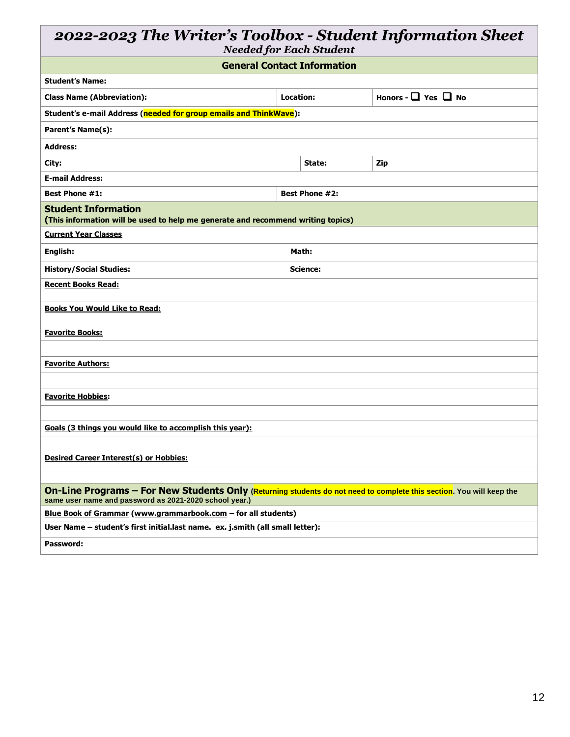## *2022-2023 The Writer's Toolbox - Student Information Sheet*

*Needed for Each Student*

| <b>General Contact Information</b>                                                                                                                                             |           |                       |                               |  |  |  |
|--------------------------------------------------------------------------------------------------------------------------------------------------------------------------------|-----------|-----------------------|-------------------------------|--|--|--|
| <b>Student's Name:</b>                                                                                                                                                         |           |                       |                               |  |  |  |
| <b>Class Name (Abbreviation):</b>                                                                                                                                              | Location: |                       | Honors - $\Box$ Yes $\Box$ No |  |  |  |
| Student's e-mail Address (needed for group emails and ThinkWave):                                                                                                              |           |                       |                               |  |  |  |
| <b>Parent's Name(s):</b>                                                                                                                                                       |           |                       |                               |  |  |  |
| <b>Address:</b>                                                                                                                                                                |           |                       |                               |  |  |  |
| City:                                                                                                                                                                          |           | State:                | Zip                           |  |  |  |
| <b>E-mail Address:</b>                                                                                                                                                         |           |                       |                               |  |  |  |
| <b>Best Phone #1:</b>                                                                                                                                                          |           | <b>Best Phone #2:</b> |                               |  |  |  |
| <b>Student Information</b><br>(This information will be used to help me generate and recommend writing topics)                                                                 |           |                       |                               |  |  |  |
| <b>Current Year Classes</b>                                                                                                                                                    |           |                       |                               |  |  |  |
| English:                                                                                                                                                                       |           | Math:                 |                               |  |  |  |
| <b>History/Social Studies:</b>                                                                                                                                                 |           | Science:              |                               |  |  |  |
| <b>Recent Books Read:</b>                                                                                                                                                      |           |                       |                               |  |  |  |
| <b>Books You Would Like to Read:</b>                                                                                                                                           |           |                       |                               |  |  |  |
| <b>Favorite Books:</b>                                                                                                                                                         |           |                       |                               |  |  |  |
|                                                                                                                                                                                |           |                       |                               |  |  |  |
| <b>Favorite Authors:</b>                                                                                                                                                       |           |                       |                               |  |  |  |
|                                                                                                                                                                                |           |                       |                               |  |  |  |
| <b>Favorite Hobbies:</b>                                                                                                                                                       |           |                       |                               |  |  |  |
|                                                                                                                                                                                |           |                       |                               |  |  |  |
| Goals (3 things you would like to accomplish this year):                                                                                                                       |           |                       |                               |  |  |  |
|                                                                                                                                                                                |           |                       |                               |  |  |  |
| <b>Desired Career Interest(s) or Hobbies:</b>                                                                                                                                  |           |                       |                               |  |  |  |
|                                                                                                                                                                                |           |                       |                               |  |  |  |
| On-Line Programs - For New Students Only (Returning students do not need to complete this section. You will keep the<br>same user name and password as 2021-2020 school year.) |           |                       |                               |  |  |  |
| Blue Book of Grammar (www.grammarbook.com - for all students)                                                                                                                  |           |                       |                               |  |  |  |
| User Name - student's first initial.last name. ex. j.smith (all small letter):                                                                                                 |           |                       |                               |  |  |  |
| Password:                                                                                                                                                                      |           |                       |                               |  |  |  |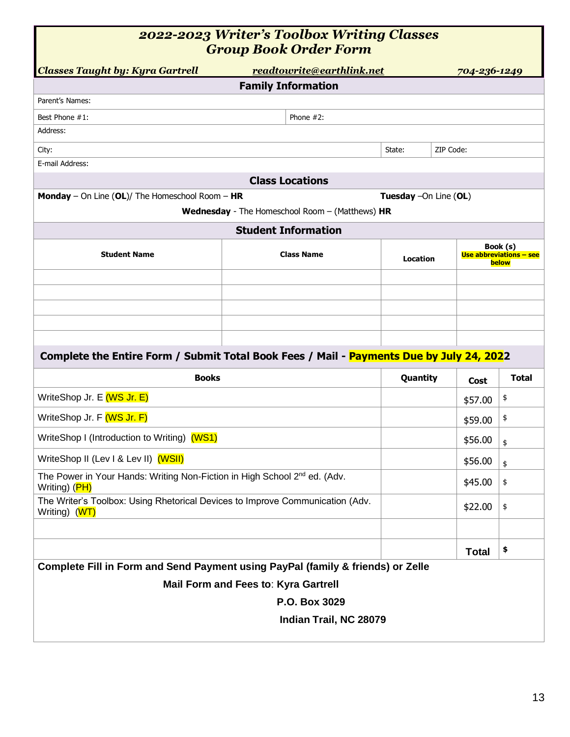| 2022-2023 Writer's Toolbox Writing Classes |
|--------------------------------------------|
| <b>Group Book Order Form</b>               |

| <b>Classes Taught by: Kyra Gartrell</b>                                                                | readtowrite@earthlink.net                       |                        | 704-236-1249                                 |              |  |
|--------------------------------------------------------------------------------------------------------|-------------------------------------------------|------------------------|----------------------------------------------|--------------|--|
|                                                                                                        | <b>Family Information</b>                       |                        |                                              |              |  |
| Parent's Names:                                                                                        |                                                 |                        |                                              |              |  |
| Best Phone #1:                                                                                         | Phone $#2$ :                                    |                        |                                              |              |  |
| Address:                                                                                               |                                                 |                        |                                              |              |  |
| City:                                                                                                  |                                                 | State:                 | ZIP Code:                                    |              |  |
| E-mail Address:                                                                                        |                                                 |                        |                                              |              |  |
|                                                                                                        | <b>Class Locations</b>                          |                        |                                              |              |  |
| <b>Monday</b> - On Line $(OL)/$ The Homeschool Room - HR                                               |                                                 | Tuesday - On Line (OL) |                                              |              |  |
|                                                                                                        | Wednesday - The Homeschool Room - (Matthews) HR |                        |                                              |              |  |
|                                                                                                        | <b>Student Information</b>                      |                        |                                              |              |  |
| <b>Student Name</b>                                                                                    | <b>Class Name</b>                               | Location               | Book (s)<br>Use abbreviations - see<br>below |              |  |
|                                                                                                        |                                                 |                        |                                              |              |  |
|                                                                                                        |                                                 |                        |                                              |              |  |
|                                                                                                        |                                                 |                        |                                              |              |  |
|                                                                                                        |                                                 |                        |                                              |              |  |
| Complete the Entire Form / Submit Total Book Fees / Mail - Payments Due by July 24, 2022               |                                                 |                        |                                              |              |  |
| <b>Books</b>                                                                                           |                                                 | Quantity               | Cost                                         | <b>Total</b> |  |
| WriteShop Jr. E (WS Jr. E)                                                                             |                                                 |                        | \$57.00                                      | \$           |  |
| WriteShop Jr. F (WS Jr. F)                                                                             |                                                 |                        | \$59.00                                      | \$           |  |
| WriteShop I (Introduction to Writing) (WS1)                                                            |                                                 |                        | \$56.00                                      | \$           |  |
| WriteShop II (Lev I & Lev II) (WSII)                                                                   |                                                 |                        | \$56.00                                      | \$           |  |
| The Power in Your Hands: Writing Non-Fiction in High School 2 <sup>nd</sup> ed. (Adv.<br>Writing) (PH) |                                                 |                        | \$45.00                                      | \$           |  |
| The Writer's Toolbox: Using Rhetorical Devices to Improve Communication (Adv.<br>Writing) (WT)         |                                                 |                        | \$22.00                                      | \$           |  |
|                                                                                                        |                                                 |                        |                                              |              |  |
|                                                                                                        |                                                 |                        | <b>Total</b>                                 | \$           |  |
| Complete Fill in Form and Send Payment using PayPal (family & friends) or Zelle                        |                                                 |                        |                                              |              |  |
|                                                                                                        | Mail Form and Fees to: Kyra Gartrell            |                        |                                              |              |  |
|                                                                                                        | P.O. Box 3029                                   |                        |                                              |              |  |
|                                                                                                        | Indian Trail, NC 28079                          |                        |                                              |              |  |
|                                                                                                        |                                                 |                        |                                              |              |  |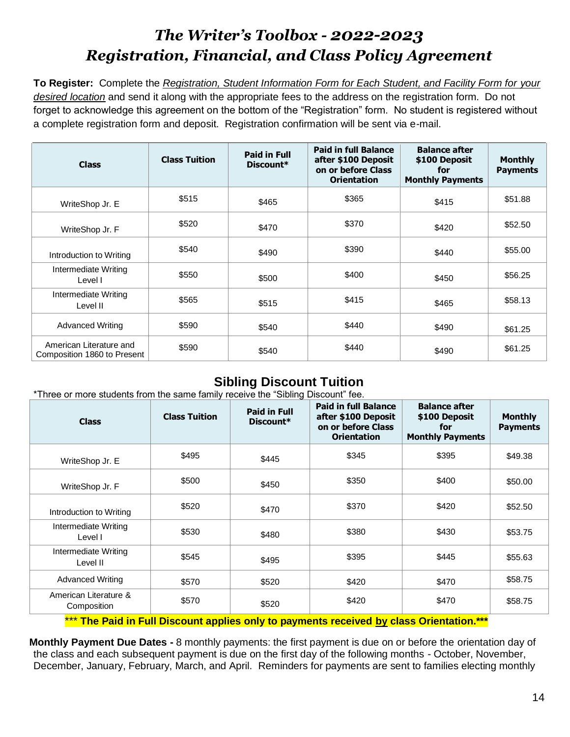## *The Writer's Toolbox - 2022-2023 Registration, Financial, and Class Policy Agreement*

**To Register:** Complete the *Registration, Student Information Form for Each Student, and Facility Form for your desired location* and send it along with the appropriate fees to the address on the registration form. Do not forget to acknowledge this agreement on the bottom of the "Registration" form. No student is registered without a complete registration form and deposit. Registration confirmation will be sent via e-mail.

| <b>Class</b>                                           | <b>Class Tuition</b> | <b>Paid in Full</b><br>$Discount*$ | <b>Paid in full Balance</b><br>after \$100 Deposit<br>on or before Class<br><b>Orientation</b> | <b>Balance after</b><br>\$100 Deposit<br>for<br><b>Monthly Payments</b> | <b>Monthly</b><br><b>Payments</b> |
|--------------------------------------------------------|----------------------|------------------------------------|------------------------------------------------------------------------------------------------|-------------------------------------------------------------------------|-----------------------------------|
| WriteShop Jr. E                                        | \$515                | \$465                              | \$365                                                                                          | \$415                                                                   | \$51.88                           |
| WriteShop Jr. F                                        | \$520                | \$470                              | \$370                                                                                          | \$420                                                                   | \$52.50                           |
| Introduction to Writing                                | \$540                | \$490                              | \$390                                                                                          | \$440                                                                   | \$55.00                           |
| Intermediate Writing<br>Level I                        | \$550                | \$500                              | \$400                                                                                          | \$450                                                                   | \$56.25                           |
| Intermediate Writing<br>Level II                       | \$565                | \$515                              | \$415                                                                                          | \$465                                                                   | \$58.13                           |
| <b>Advanced Writing</b>                                | \$590                | \$540                              | \$440                                                                                          | \$490                                                                   | \$61.25                           |
| American Literature and<br>Composition 1860 to Present | \$590                | \$540                              | \$440                                                                                          | \$490                                                                   | \$61.25                           |

## **Sibling Discount Tuition**

\*Three or more students from the same family receive the "Sibling Discount" fee.

| <b>Class</b>                         | <b>Class Tuition</b> | <b>Paid in Full</b><br>Discount* | <b>Paid in full Balance</b><br>after \$100 Deposit<br>on or before Class<br><b>Orientation</b> | <b>Balance after</b><br>\$100 Deposit<br>for<br><b>Monthly Payments</b> | <b>Monthly</b><br><b>Payments</b> |
|--------------------------------------|----------------------|----------------------------------|------------------------------------------------------------------------------------------------|-------------------------------------------------------------------------|-----------------------------------|
| WriteShop Jr. E                      | \$495                | \$445                            | \$345                                                                                          | \$395                                                                   | \$49.38                           |
| WriteShop Jr. F                      | \$500                | \$450                            | \$350                                                                                          | \$400                                                                   | \$50.00                           |
| Introduction to Writing              | \$520                | \$470                            | \$370                                                                                          | \$420                                                                   | \$52.50                           |
| Intermediate Writing<br>Level I      | \$530                | \$480                            | \$380                                                                                          | \$430                                                                   | \$53.75                           |
| Intermediate Writing<br>Level II     | \$545                | \$495                            | \$395                                                                                          | \$445                                                                   | \$55.63                           |
| <b>Advanced Writing</b>              | \$570                | \$520                            | \$420                                                                                          | \$470                                                                   | \$58.75                           |
| American Literature &<br>Composition | \$570                | \$520                            | \$420                                                                                          | \$470                                                                   | \$58.75                           |

\*\*\* **The Paid in Full Discount applies only to payments received by class Orientation.\*\*\***

**Monthly Payment Due Dates -** 8 monthly payments: the first payment is due on or before the orientation day of the class and each subsequent payment is due on the first day of the following months - October, November, December, January, February, March, and April. Reminders for payments are sent to families electing monthly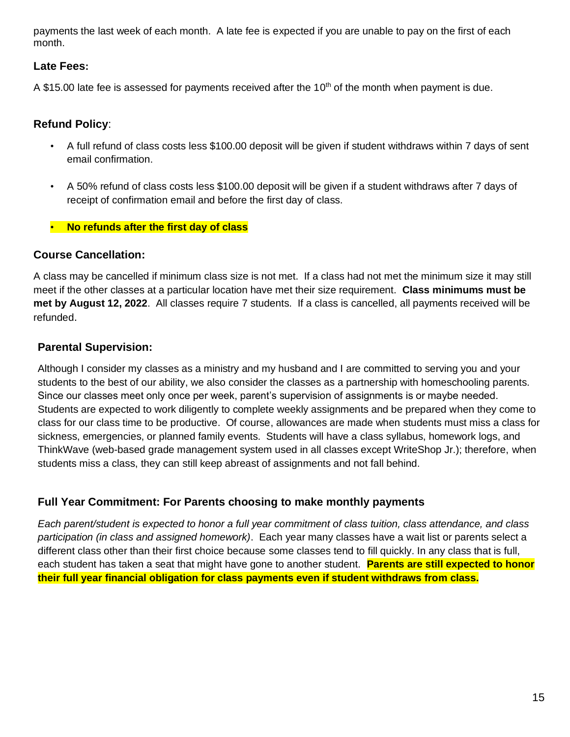payments the last week of each month. A late fee is expected if you are unable to pay on the first of each month.

#### **Late Fees:**

A \$15.00 late fee is assessed for payments received after the 10<sup>th</sup> of the month when payment is due.

#### **Refund Policy**:

- A full refund of class costs less \$100.00 deposit will be given if student withdraws within 7 days of sent email confirmation.
- A 50% refund of class costs less \$100.00 deposit will be given if a student withdraws after 7 days of receipt of confirmation email and before the first day of class.
- **No refunds after the first day of class**

#### **Course Cancellation:**

A class may be cancelled if minimum class size is not met. If a class had not met the minimum size it may still meet if the other classes at a particular location have met their size requirement. **Class minimums must be met by August 12, 2022**. All classes require 7 students. If a class is cancelled, all payments received will be refunded.

#### **Parental Supervision:**

Although I consider my classes as a ministry and my husband and I are committed to serving you and your students to the best of our ability, we also consider the classes as a partnership with homeschooling parents. Since our classes meet only once per week, parent's supervision of assignments is or maybe needed. Students are expected to work diligently to complete weekly assignments and be prepared when they come to class for our class time to be productive. Of course, allowances are made when students must miss a class for sickness, emergencies, or planned family events. Students will have a class syllabus, homework logs, and ThinkWave (web-based grade management system used in all classes except WriteShop Jr.); therefore, when students miss a class, they can still keep abreast of assignments and not fall behind.

#### **Full Year Commitment: For Parents choosing to make monthly payments**

*Each parent/student is expected to honor a full year commitment of class tuition, class attendance, and class participation (in class and assigned homework)*. Each year many classes have a wait list or parents select a different class other than their first choice because some classes tend to fill quickly. In any class that is full, each student has taken a seat that might have gone to another student. **Parents are still expected to honor their full year financial obligation for class payments even if student withdraws from class.**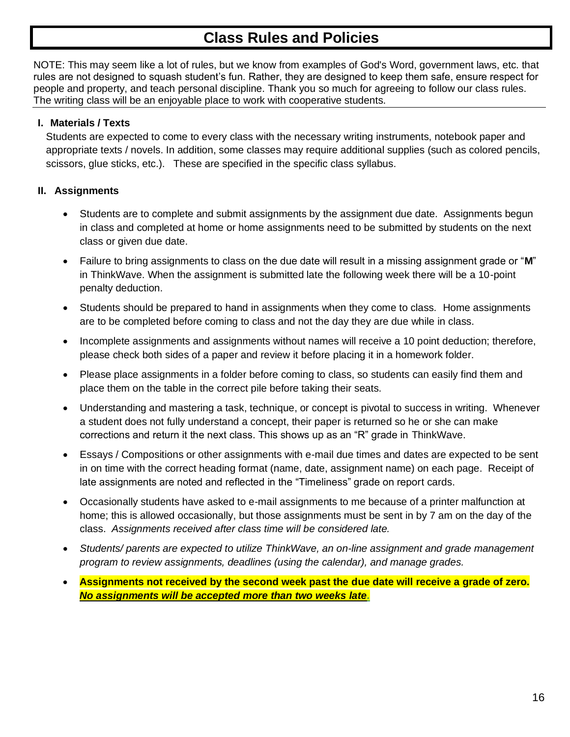## **Class Rules and Policies**

NOTE: This may seem like a lot of rules, but we know from examples of God's Word, government laws, etc. that rules are not designed to squash student's fun. Rather, they are designed to keep them safe, ensure respect for people and property, and teach personal discipline. Thank you so much for agreeing to follow our class rules. The writing class will be an enjoyable place to work with cooperative students.

#### **I. Materials / Texts**

Students are expected to come to every class with the necessary writing instruments, notebook paper and appropriate texts / novels. In addition, some classes may require additional supplies (such as colored pencils, scissors, glue sticks, etc.). These are specified in the specific class syllabus.

#### **II. Assignments**

- Students are to complete and submit assignments by the assignment due date. Assignments begun in class and completed at home or home assignments need to be submitted by students on the next class or given due date.
- Failure to bring assignments to class on the due date will result in a missing assignment grade or "**M**" in ThinkWave. When the assignment is submitted late the following week there will be a 10-point penalty deduction.
- Students should be prepared to hand in assignments when they come to class. Home assignments are to be completed before coming to class and not the day they are due while in class.
- Incomplete assignments and assignments without names will receive a 10 point deduction; therefore, please check both sides of a paper and review it before placing it in a homework folder.
- Please place assignments in a folder before coming to class, so students can easily find them and place them on the table in the correct pile before taking their seats.
- Understanding and mastering a task, technique, or concept is pivotal to success in writing. Whenever a student does not fully understand a concept, their paper is returned so he or she can make corrections and return it the next class. This shows up as an "R" grade in ThinkWave.
- Essays / Compositions or other assignments with e-mail due times and dates are expected to be sent in on time with the correct heading format (name, date, assignment name) on each page. Receipt of late assignments are noted and reflected in the "Timeliness" grade on report cards.
- Occasionally students have asked to e-mail assignments to me because of a printer malfunction at home; this is allowed occasionally, but those assignments must be sent in by 7 am on the day of the class. *Assignments received after class time will be considered late.*
- *Students/ parents are expected to utilize ThinkWave, an on-line assignment and grade management program to review assignments, deadlines (using the calendar), and manage grades.*
- **Assignments not received by the second week past the due date will receive a grade of zero.**  *No assignments will be accepted more than two weeks late.*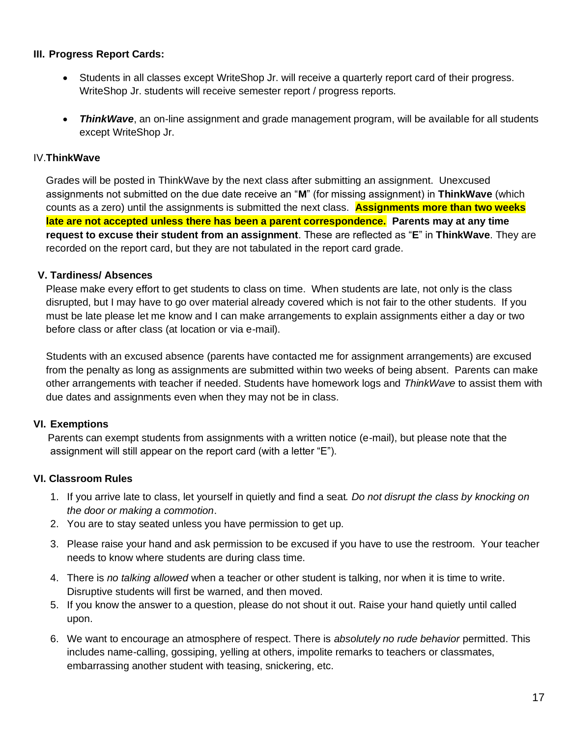#### **III. Progress Report Cards:**

- Students in all classes except WriteShop Jr. will receive a quarterly report card of their progress. WriteShop Jr. students will receive semester report / progress reports.
- *ThinkWave*, an on-line assignment and grade management program, will be available for all students except WriteShop Jr.

#### IV.**ThinkWave**

Grades will be posted in ThinkWave by the next class after submitting an assignment. Unexcused assignments not submitted on the due date receive an "**M**" (for missing assignment) in **ThinkWave** (which counts as a zero) until the assignments is submitted the next class. **Assignments more than two weeks late are not accepted unless there has been a parent correspondence. Parents may at any time request to excuse their student from an assignment**. These are reflected as "**E**" in **ThinkWave**. They are recorded on the report card, but they are not tabulated in the report card grade.

#### **V. Tardiness/ Absences**

Please make every effort to get students to class on time. When students are late, not only is the class disrupted, but I may have to go over material already covered which is not fair to the other students. If you must be late please let me know and I can make arrangements to explain assignments either a day or two before class or after class (at location or via e-mail).

Students with an excused absence (parents have contacted me for assignment arrangements) are excused from the penalty as long as assignments are submitted within two weeks of being absent. Parents can make other arrangements with teacher if needed. Students have homework logs and *ThinkWave* to assist them with due dates and assignments even when they may not be in class.

#### **VI. Exemptions**

 Parents can exempt students from assignments with a written notice (e-mail), but please note that the assignment will still appear on the report card (with a letter "E").

#### **VI. Classroom Rules**

- 1. If you arrive late to class, let yourself in quietly and find a seat*. Do not disrupt the class by knocking on the door or making a commotion*.
- 2. You are to stay seated unless you have permission to get up.
- 3. Please raise your hand and ask permission to be excused if you have to use the restroom. Your teacher needs to know where students are during class time.
- 4. There is *no talking allowed* when a teacher or other student is talking, nor when it is time to write. Disruptive students will first be warned, and then moved.
- 5. If you know the answer to a question, please do not shout it out. Raise your hand quietly until called upon.
- 6. We want to encourage an atmosphere of respect. There is *absolutely no rude behavior* permitted. This includes name-calling, gossiping, yelling at others, impolite remarks to teachers or classmates, embarrassing another student with teasing, snickering, etc.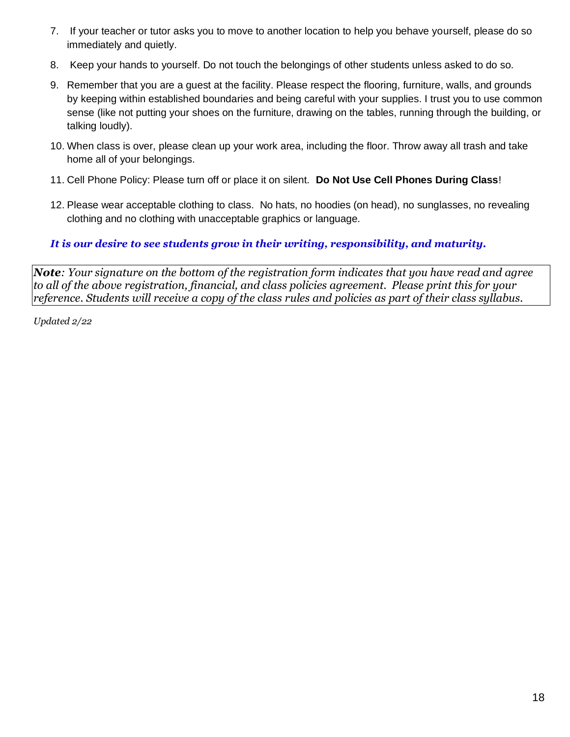- 7. If your teacher or tutor asks you to move to another location to help you behave yourself, please do so immediately and quietly.
- 8. Keep your hands to yourself. Do not touch the belongings of other students unless asked to do so.
- 9. Remember that you are a guest at the facility. Please respect the flooring, furniture, walls, and grounds by keeping within established boundaries and being careful with your supplies. I trust you to use common sense (like not putting your shoes on the furniture, drawing on the tables, running through the building, or talking loudly).
- 10. When class is over, please clean up your work area, including the floor. Throw away all trash and take home all of your belongings.
- 11. Cell Phone Policy: Please turn off or place it on silent. **Do Not Use Cell Phones During Class**!
- 12. Please wear acceptable clothing to class. No hats, no hoodies (on head), no sunglasses, no revealing clothing and no clothing with unacceptable graphics or language.

#### *It is our desire to see students grow in their writing, responsibility, and maturity.*

*Note: Your signature on the bottom of the registration form indicates that you have read and agree to all of the above registration, financial, and class policies agreement. Please print this for your reference. Students will receive a copy of the class rules and policies as part of their class syllabus.*

*Updated 2/22*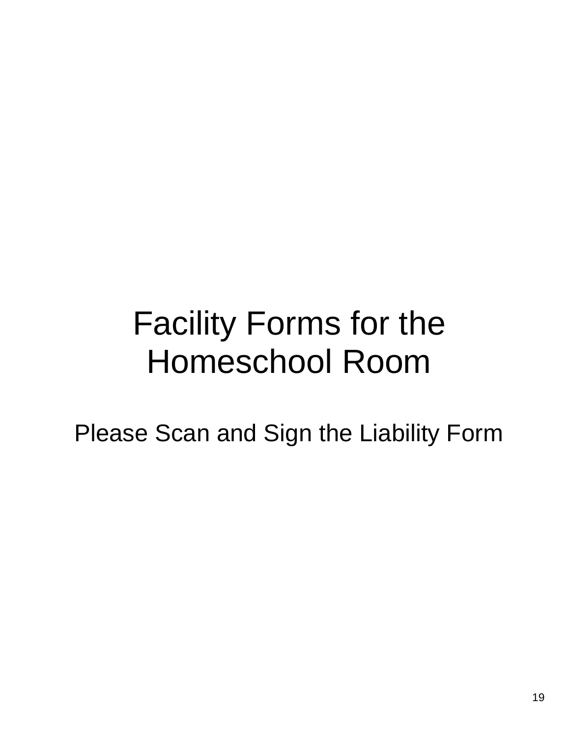# Facility Forms for the Homeschool Room

Please Scan and Sign the Liability Form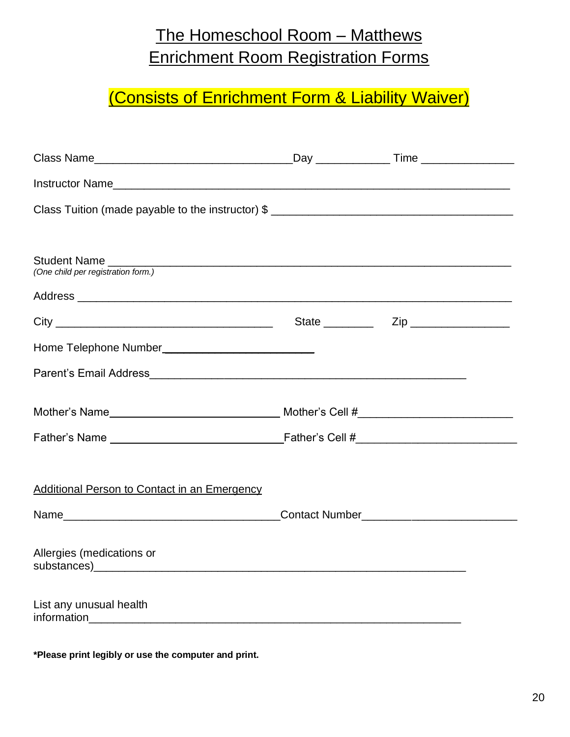# The Homeschool Room – Matthews Enrichment Room Registration Forms

# (Consists of Enrichment Form & Liability Waiver)

| Student Name<br>(One child per registration form.)  |  |
|-----------------------------------------------------|--|
|                                                     |  |
|                                                     |  |
|                                                     |  |
|                                                     |  |
|                                                     |  |
|                                                     |  |
|                                                     |  |
| <b>Additional Person to Contact in an Emergency</b> |  |
|                                                     |  |
| Allergies (medications or                           |  |
| List any unusual health                             |  |

**\*Please print legibly or use the computer and print.**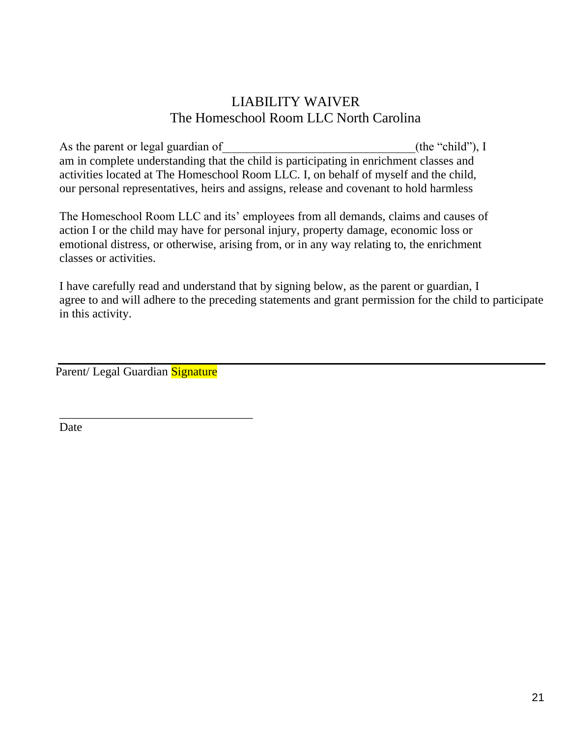#### LIABILITY WAIVER The Homeschool Room LLC North Carolina

As the parent or legal guardian of  $($ the "child"), I am in complete understanding that the child is participating in enrichment classes and activities located at The Homeschool Room LLC. I, on behalf of myself and the child, our personal representatives, heirs and assigns, release and covenant to hold harmless

The Homeschool Room LLC and its' employees from all demands, claims and causes of action I or the child may have for personal injury, property damage, economic loss or emotional distress, or otherwise, arising from, or in any way relating to, the enrichment classes or activities.

I have carefully read and understand that by signing below, as the parent or guardian, I agree to and will adhere to the preceding statements and grant permission for the child to participate in this activity.

Parent/ Legal Guardian Signature

\_\_\_\_\_\_\_\_\_\_\_\_\_\_\_\_\_\_\_\_\_\_\_\_\_\_\_\_\_\_\_\_

Date